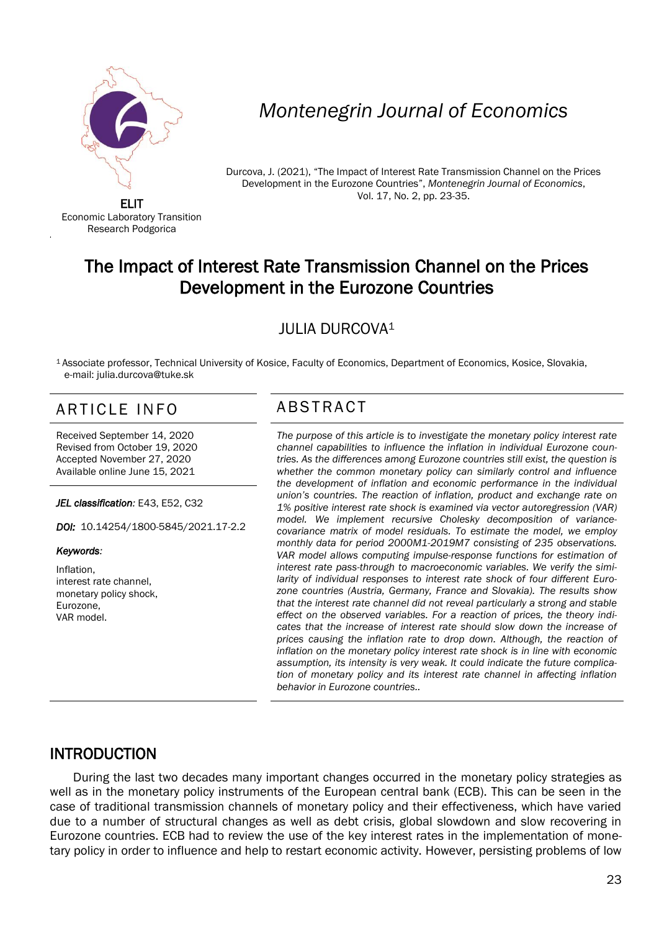

Economic Laboratory Transition Research Podgorica

# *Montenegrin Journal of Economics*

Durcova, J. (2021), "The Impact of Interest Rate Transmission Channel on the Prices Development in the Eurozone Countries", *Montenegrin Journal of Economics*, Vol. 17, No. 2, pp. 23-35.

# The Impact of Interest Rate Transmission Channel on the Prices Development in the Eurozone Countries

### JULIA DURCOVA<sup>1</sup>

<sup>1</sup>Associate professor, Technical University of Kosice, Faculty of Economics, Department of Economics, Kosice, Slovakia, e-mail: julia.durcova@tuke.sk

## ARTICLE INFO ABSTRACT

Received September 14, 2020 Revised from October 19, 2020 Accepted November 27, 2020 Available online June 15, 2021

*JEL classification:* E43, E52, C32

*DOI:* 10.14254/1800-5845/2021.17-2.2

#### *Keywords:*

I

'

Inflation, interest rate channel, monetary policy shock, Eurozone, VAR model.

 *The purpose of this article is to investigate the monetary policy interest rate channel capabilities to influence the inflation in individual Eurozone countries. As the differences among Eurozone countries still exist, the question is whether the common monetary policy can similarly control and influence the development of inflation and economic performance in the individual union's countries. The reaction of inflation, product and exchange rate on 1% positive interest rate shock is examined via vector autoregression (VAR) model. We implement recursive Cholesky decomposition of variancecovariance matrix of model residuals. To estimate the model, we employ monthly data for period 2000M1-2019M7 consisting of 235 observations. VAR model allows computing impulse-response functions for estimation of interest rate pass-through to macroeconomic variables. We verify the similarity of individual responses to interest rate shock of four different Eurozone countries (Austria, Germany, France and Slovakia). The results show that the interest rate channel did not reveal particularly a strong and stable effect on the observed variables. For a reaction of prices, the theory indicates that the increase of interest rate should slow down the increase of prices causing the inflation rate to drop down. Although, the reaction of inflation on the monetary policy interest rate shock is in line with economic assumption, its intensity is very weak. It could indicate the future complication of monetary policy and its interest rate channel in affecting inflation behavior in Eurozone countries..*

#### INTRODUCTION

During the last two decades many important changes occurred in the monetary policy strategies as well as in the monetary policy instruments of the European central bank (ECB). This can be seen in the case of traditional transmission channels of monetary policy and their effectiveness, which have varied due to a number of structural changes as well as debt crisis, global slowdown and slow recovering in Eurozone countries. ECB had to review the use of the key interest rates in the implementation of monetary policy in order to influence and help to restart economic activity. However, persisting problems of low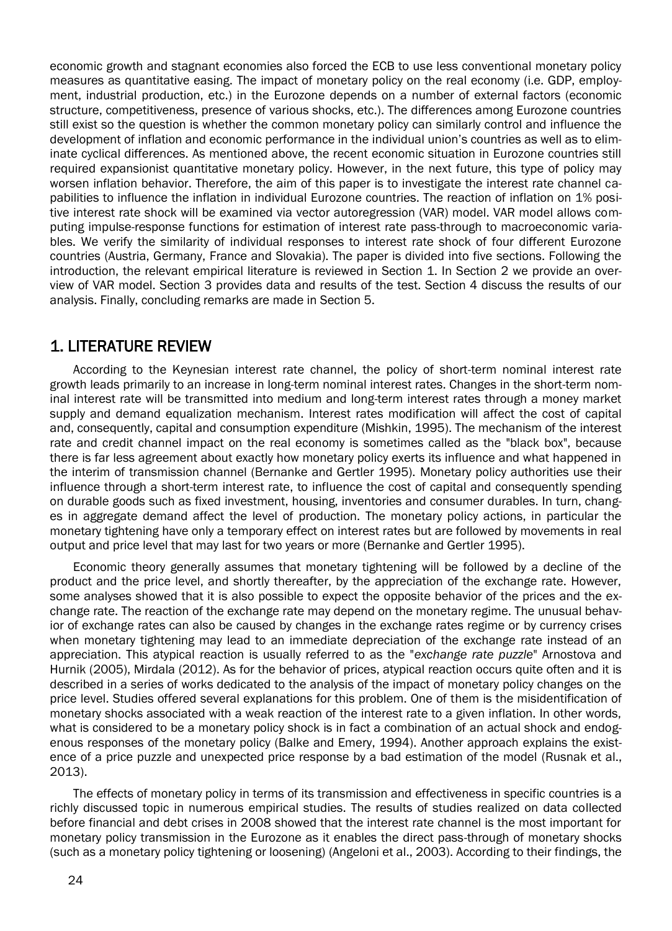economic growth and stagnant economies also forced the ECB to use less conventional monetary policy measures as quantitative easing. The impact of monetary policy on the real economy (i.e. GDP, employment, industrial production, etc.) in the Eurozone depends on a number of external factors (economic structure, competitiveness, presence of various shocks, etc.). The differences among Eurozone countries still exist so the question is whether the common monetary policy can similarly control and influence the development of inflation and economic performance in the individual union's countries as well as to eliminate cyclical differences. As mentioned above, the recent economic situation in Eurozone countries still required expansionist quantitative monetary policy. However, in the next future, this type of policy may worsen inflation behavior. Therefore, the aim of this paper is to investigate the interest rate channel capabilities to influence the inflation in individual Eurozone countries. The reaction of inflation on 1% positive interest rate shock will be examined via vector autoregression (VAR) model. VAR model allows computing impulse-response functions for estimation of interest rate pass-through to macroeconomic variables. We verify the similarity of individual responses to interest rate shock of four different Eurozone countries (Austria, Germany, France and Slovakia). The paper is divided into five sections. Following the introduction, the relevant empirical literature is reviewed in Section 1. In Section 2 we provide an overview of VAR model. Section 3 provides data and results of the test. Section 4 discuss the results of our analysis. Finally, concluding remarks are made in Section 5.

### 1. LITERATURE REVIEW

According to the Keynesian interest rate channel, the policy of short-term nominal interest rate growth leads primarily to an increase in long-term nominal interest rates. Changes in the short-term nominal interest rate will be transmitted into medium and long-term interest rates through a money market supply and demand equalization mechanism. Interest rates modification will affect the cost of capital and, consequently, capital and consumption expenditure (Mishkin, 1995). The mechanism of the interest rate and credit channel impact on the real economy is sometimes called as the "black box", because there is far less agreement about exactly how monetary policy exerts its influence and what happened in the interim of transmission channel (Bernanke and Gertler 1995). Monetary policy authorities use their influence through a short-term interest rate, to influence the cost of capital and consequently spending on durable goods such as fixed investment, housing, inventories and consumer durables. In turn, changes in aggregate demand affect the level of production. The monetary policy actions, in particular the monetary tightening have only a temporary effect on interest rates but are followed by movements in real output and price level that may last for two years or more (Bernanke and Gertler 1995).

Economic theory generally assumes that monetary tightening will be followed by a decline of the product and the price level, and shortly thereafter, by the appreciation of the exchange rate. However, some analyses showed that it is also possible to expect the opposite behavior of the prices and the exchange rate. The reaction of the exchange rate may depend on the monetary regime. The unusual behavior of exchange rates can also be caused by changes in the exchange rates regime or by currency crises when monetary tightening may lead to an immediate depreciation of the exchange rate instead of an appreciation. This atypical reaction is usually referred to as the "*exchange rate puzzle*" Arnostova and Hurnik (2005), Mirdala (2012). As for the behavior of prices, atypical reaction occurs quite often and it is described in a series of works dedicated to the analysis of the impact of monetary policy changes on the price level. Studies offered several explanations for this problem. One of them is the misidentification of monetary shocks associated with a weak reaction of the interest rate to a given inflation. In other words, what is considered to be a monetary policy shock is in fact a combination of an actual shock and endogenous responses of the monetary policy (Balke and Emery, 1994). Another approach explains the existence of a price puzzle and unexpected price response by a bad estimation of the model (Rusnak et al., 2013).

The effects of monetary policy in terms of its transmission and effectiveness in specific countries is a richly discussed topic in numerous empirical studies. The results of studies realized on data collected before financial and debt crises in 2008 showed that the interest rate channel is the most important for monetary policy transmission in the Eurozone as it enables the direct pass-through of monetary shocks (such as a monetary policy tightening or loosening) (Angeloni et al., 2003). According to their findings, the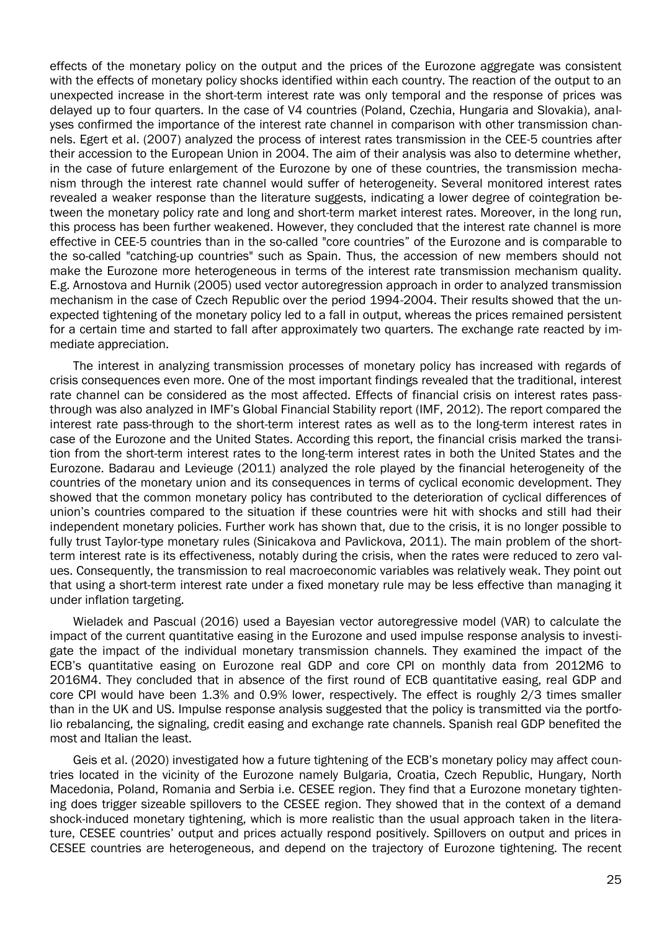effects of the monetary policy on the output and the prices of the Eurozone aggregate was consistent with the effects of monetary policy shocks identified within each country. The reaction of the output to an unexpected increase in the short-term interest rate was only temporal and the response of prices was delayed up to four quarters. In the case of V4 countries (Poland, Czechia, Hungaria and Slovakia), analyses confirmed the importance of the interest rate channel in comparison with other transmission channels. Egert et al. (2007) analyzed the process of interest rates transmission in the CEE-5 countries after their accession to the European Union in 2004. The aim of their analysis was also to determine whether, in the case of future enlargement of the Eurozone by one of these countries, the transmission mechanism through the interest rate channel would suffer of heterogeneity. Several monitored interest rates revealed a weaker response than the literature suggests, indicating a lower degree of cointegration between the monetary policy rate and long and short-term market interest rates. Moreover, in the long run, this process has been further weakened. However, they concluded that the interest rate channel is more effective in CEE-5 countries than in the so-called "core countries" of the Eurozone and is comparable to the so-called "catching-up countries" such as Spain. Thus, the accession of new members should not make the Eurozone more heterogeneous in terms of the interest rate transmission mechanism quality. E.g. Arnostova and Hurnik (2005) used vector autoregression approach in order to analyzed transmission mechanism in the case of Czech Republic over the period 1994-2004. Their results showed that the unexpected tightening of the monetary policy led to a fall in output, whereas the prices remained persistent for a certain time and started to fall after approximately two quarters. The exchange rate reacted by immediate appreciation.

The interest in analyzing transmission processes of monetary policy has increased with regards of crisis consequences even more. One of the most important findings revealed that the traditional, interest rate channel can be considered as the most affected. Effects of financial crisis on interest rates passthrough was also analyzed in IMF's Global Financial Stability report (IMF, 2012). The report compared the interest rate pass-through to the short-term interest rates as well as to the long-term interest rates in case of the Eurozone and the United States. According this report, the financial crisis marked the transition from the short-term interest rates to the long-term interest rates in both the United States and the Eurozone. Badarau and Levieuge (2011) analyzed the role played by the financial heterogeneity of the countries of the monetary union and its consequences in terms of cyclical economic development. They showed that the common monetary policy has contributed to the deterioration of cyclical differences of union's countries compared to the situation if these countries were hit with shocks and still had their independent monetary policies. Further work has shown that, due to the crisis, it is no longer possible to fully trust Taylor-type monetary rules (Sinicakova and Pavlickova, 2011). The main problem of the shortterm interest rate is its effectiveness, notably during the crisis, when the rates were reduced to zero values. Consequently, the transmission to real macroeconomic variables was relatively weak. They point out that using a short-term interest rate under a fixed monetary rule may be less effective than managing it under inflation targeting.

Wieladek and Pascual (2016) used a Bayesian vector autoregressive model (VAR) to calculate the impact of the current quantitative easing in the Eurozone and used impulse response analysis to investigate the impact of the individual monetary transmission channels. They examined the impact of the ECB's quantitative easing on Eurozone real GDP and core CPI on monthly data from 2012M6 to 2016M4. They concluded that in absence of the first round of ECB quantitative easing, real GDP and core CPI would have been 1.3% and 0.9% lower, respectively. The effect is roughly 2/3 times smaller than in the UK and US. Impulse response analysis suggested that the policy is transmitted via the portfolio rebalancing, the signaling, credit easing and exchange rate channels. Spanish real GDP benefited the most and Italian the least.

Geis et al. (2020) investigated how a future tightening of the ECB's monetary policy may affect countries located in the vicinity of the Eurozone namely Bulgaria, Croatia, Czech Republic, Hungary, North Macedonia, Poland, Romania and Serbia i.e. CESEE region. They find that a Eurozone monetary tightening does trigger sizeable spillovers to the CESEE region. They showed that in the context of a demand shock-induced monetary tightening, which is more realistic than the usual approach taken in the literature, CESEE countries' output and prices actually respond positively. Spillovers on output and prices in CESEE countries are heterogeneous, and depend on the trajectory of Eurozone tightening. The recent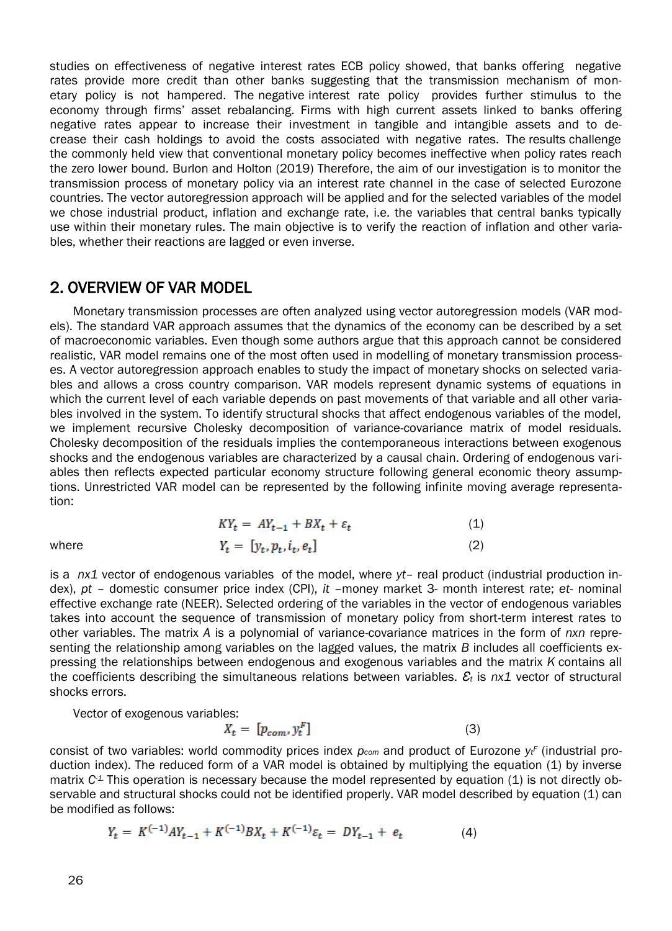studies on effectiveness of negative interest rates ECB policy showed, that banks offering negative rates provide more credit than other banks suggesting that the transmission mechanism of monetary policy is not hampered. The negative interest rate policy provides further stimulus to the economy through firms' asset rebalancing. Firms with high current assets linked to banks offering negative rates appear to increase their investment in tangible and intangible assets and to decrease their cash holdings to avoid the costs associated with negative rates. The results challenge the commonly held view that conventional monetary policy becomes ineffective when policy rates reach the zero lower bound. Burlon and Holton (2019) Therefore, the aim of our investigation is to monitor the transmission process of monetary policy via an interest rate channel in the case of selected Eurozone countries. The vector autoregression approach will be applied and for the selected variables of the model we chose industrial product, inflation and exchange rate, i.e. the variables that central banks typically use within their monetary rules. The main objective is to verify the reaction of inflation and other variables, whether their reactions are lagged or even inverse.

#### 2. OVERVIEW OF VAR MODEL

Monetary transmission processes are often analyzed using vector autoregression models (VAR models). The standard VAR approach assumes that the dynamics of the economy can be described by a set of macroeconomic variables. Even though some authors argue that this approach cannot be considered realistic, VAR model remains one of the most often used in modelling of monetary transmission processes. A vector autoregression approach enables to study the impact of monetary shocks on selected variables and allows a cross country comparison. VAR models represent dynamic systems of equations in which the current level of each variable depends on past movements of that variable and all other variables involved in the system. To identify structural shocks that affect endogenous variables of the model, we implement recursive Cholesky decomposition of variance-covariance matrix of model residuals. Cholesky decomposition of the residuals implies the contemporaneous interactions between exogenous shocks and the endogenous variables are characterized by a causal chain. Ordering of endogenous variables then reflects expected particular economy structure following general economic theory assumptions. Unrestricted VAR model can be represented by the following infinite moving average representation:

$$
KYt = AYt-1 + BXt + \varepsilont
$$
\n(1)  
\nwhere 
$$
Yt = [yt, pt, it, et]
$$
\n(2)

is a *nx1* vector of endogenous variables of the model, where *yt*– real product (industrial production index), *pt* – domestic consumer price index (CPI), *it* –money market 3- month interest rate; *et-* nominal effective exchange rate (NEER). Selected ordering of the variables in the vector of endogenous variables takes into account the sequence of transmission of monetary policy from short-term interest rates to other variables. The matrix *A* is a polynomial of variance-covariance matrices in the form of *nxn* representing the relationship among variables on the lagged values, the matrix *B* includes all coefficients expressing the relationships between endogenous and exogenous variables and the matrix *K* contains all the coefficients describing the simultaneous relations between variables. *Ɛ<sup>t</sup>* is *nx1* vector of structural shocks errors.

Vector of exogenous variables:

$$
X_t = [p_{com}, y_t^F]
$$
 (3)

consist of two variables: world commodity prices index *pcom* and product of Eurozone *y<sup>t</sup> <sup>F</sup>* (industrial production index). The reduced form of a VAR model is obtained by multiplying the equation (1) by inverse matrix *C-1.* This operation is necessary because the model represented by equation (1) is not directly observable and structural shocks could not be identified properly. VAR model described by equation (1) can be modified as follows:

$$
Y_t = K^{(-1)}AY_{t-1} + K^{(-1)}BX_t + K^{(-1)}\varepsilon_t = DY_{t-1} + e_t \tag{4}
$$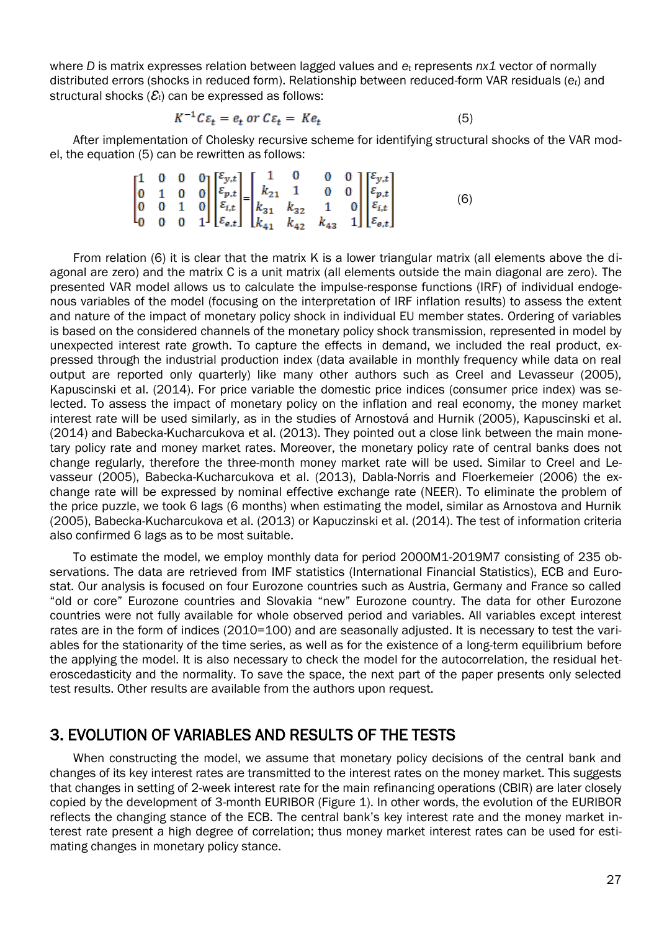where *D* is matrix expresses relation between lagged values and *e<sup>t</sup>* represents *nx1* vector of normally distributed errors (shocks in reduced form). Relationship between reduced-form VAR residuals (*et*) and structural shocks (*Ɛt*) can be expressed as follows:

$$
K^{-1}C\varepsilon_t = e_t \text{ or } C\varepsilon_t = Ke_t \tag{5}
$$

After implementation of Cholesky recursive scheme for identifying structural shocks of the VAR model, the equation (5) can be rewritten as follows:

$$
\begin{bmatrix} 1 & 0 & 0 & 0 \ 0 & 1 & 0 & 0 \ 0 & 0 & 1 & 0 \ 0 & 0 & 0 & 1 \ \end{bmatrix} \begin{bmatrix} \varepsilon_{y,t} \\ \varepsilon_{p,t} \\ \varepsilon_{i,t} \\ \varepsilon_{e,t} \end{bmatrix} = \begin{bmatrix} 1 & 0 & 0 & 0 \ k_{21} & 1 & 0 & 0 \ k_{31} & k_{32} & 1 & 0 \ k_{41} & k_{42} & k_{43} & 1 \ \end{bmatrix} \begin{bmatrix} \varepsilon_{y,t} \\ \varepsilon_{p,t} \\ \varepsilon_{i,t} \\ \varepsilon_{e,t} \end{bmatrix}
$$
(6)

From relation (6) it is clear that the matrix K is a lower triangular matrix (all elements above the diagonal are zero) and the matrix C is a unit matrix (all elements outside the main diagonal are zero). The presented VAR model allows us to calculate the impulse-response functions (IRF) of individual endogenous variables of the model (focusing on the interpretation of IRF inflation results) to assess the extent and nature of the impact of monetary policy shock in individual EU member states. Ordering of variables is based on the considered channels of the monetary policy shock transmission, represented in model by unexpected interest rate growth. To capture the effects in demand, we included the real product, expressed through the industrial production index (data available in monthly frequency while data on real output are reported only quarterly) like many other authors such as Creel and Levasseur (2005), Kapuscinski et al. (2014). For price variable the domestic price indices (consumer price index) was selected. To assess the impact of monetary policy on the inflation and real economy, the money market interest rate will be used similarly, as in the studies of Arnostová and Hurnik (2005), Kapuscinski et al. (2014) and Babecka-Kucharcukova et al. (2013). They pointed out a close link between the main monetary policy rate and money market rates. Moreover, the monetary policy rate of central banks does not change regularly, therefore the three-month money market rate will be used. Similar to Creel and Levasseur (2005), Babecka-Kucharcukova et al. (2013), Dabla-Norris and Floerkemeier (2006) the exchange rate will be expressed by nominal effective exchange rate (NEER). To eliminate the problem of the price puzzle, we took 6 lags (6 months) when estimating the model, similar as Arnostova and Hurnik (2005), Babecka-Kucharcukova et al. (2013) or Kapuczinski et al. (2014). The test of information criteria also confirmed 6 lags as to be most suitable.

To estimate the model, we employ monthly data for period 2000M1-2019M7 consisting of 235 observations. The data are retrieved from IMF statistics (International Financial Statistics), ECB and Eurostat. Our analysis is focused on four Eurozone countries such as Austria, Germany and France so called "old or core" Eurozone countries and Slovakia "new" Eurozone country. The data for other Eurozone countries were not fully available for whole observed period and variables. All variables except interest rates are in the form of indices (2010=100) and are seasonally adjusted. It is necessary to test the variables for the stationarity of the time series, as well as for the existence of a long-term equilibrium before the applying the model. It is also necessary to check the model for the autocorrelation, the residual heteroscedasticity and the normality. To save the space, the next part of the paper presents only selected test results. Other results are available from the authors upon request.

#### 3. EVOLUTION OF VARIABLES AND RESULTS OF THE TESTS

When constructing the model, we assume that monetary policy decisions of the central bank and changes of its key interest rates are transmitted to the interest rates on the money market. This suggests that changes in setting of 2-week interest rate for the main refinancing operations (CBIR) are later closely copied by the development of 3-month EURIBOR (Figure 1). In other words, the evolution of the EURIBOR reflects the changing stance of the ECB. The central bank's key interest rate and the money market interest rate present a high degree of correlation; thus money market interest rates can be used for estimating changes in monetary policy stance.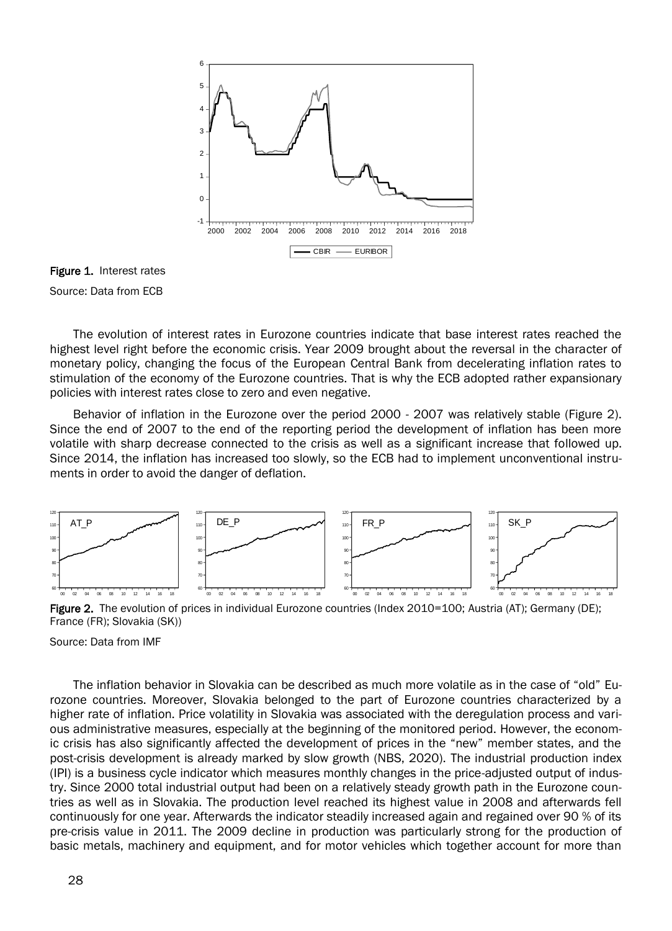

Figure 1. Interest rates Source: Data from ECB

The evolution of interest rates in Eurozone countries indicate that base interest rates reached the highest level right before the economic crisis. Year 2009 brought about the reversal in the character of monetary policy, changing the focus of the European Central Bank from decelerating inflation rates to stimulation of the economy of the Eurozone countries. That is why the ECB adopted rather expansionary policies with interest rates close to zero and even negative.

Behavior of inflation in the Eurozone over the period 2000 - 2007 was relatively stable (Figure 2). Since the end of 2007 to the end of the reporting period the development of inflation has been more volatile with sharp decrease connected to the crisis as well as a significant increase that followed up. Since 2014, the inflation has increased too slowly, so the ECB had to implement unconventional instruments in order to avoid the danger of deflation.



Figure 2. The evolution of prices in individual Eurozone countries (Index 2010=100; Austria (AT); Germany (DE); France (FR); Slovakia (SK))

Source: Data from IMF

The inflation behavior in Slovakia can be described as much more volatile as in the case of "old" Eurozone countries. Moreover, Slovakia belonged to the part of Eurozone countries characterized by a higher rate of inflation. Price volatility in Slovakia was associated with the deregulation process and various administrative measures, especially at the beginning of the monitored period. However, the economic crisis has also significantly affected the development of prices in the "new" member states, and the post-crisis development is already marked by slow growth (NBS, 2020). The industrial production index (IPI) is a business cycle indicator which measures monthly changes in the price-adjusted output of industry. Since 2000 total industrial output had been on a relatively steady growth path in the Eurozone countries as well as in Slovakia. The production level reached its highest value in 2008 and afterwards fell continuously for one year. Afterwards the indicator steadily increased again and regained over 90 % of its pre-crisis value in 2011. The 2009 decline in production was particularly strong for the production of basic metals, machinery and equipment, and for motor vehicles which together account for more than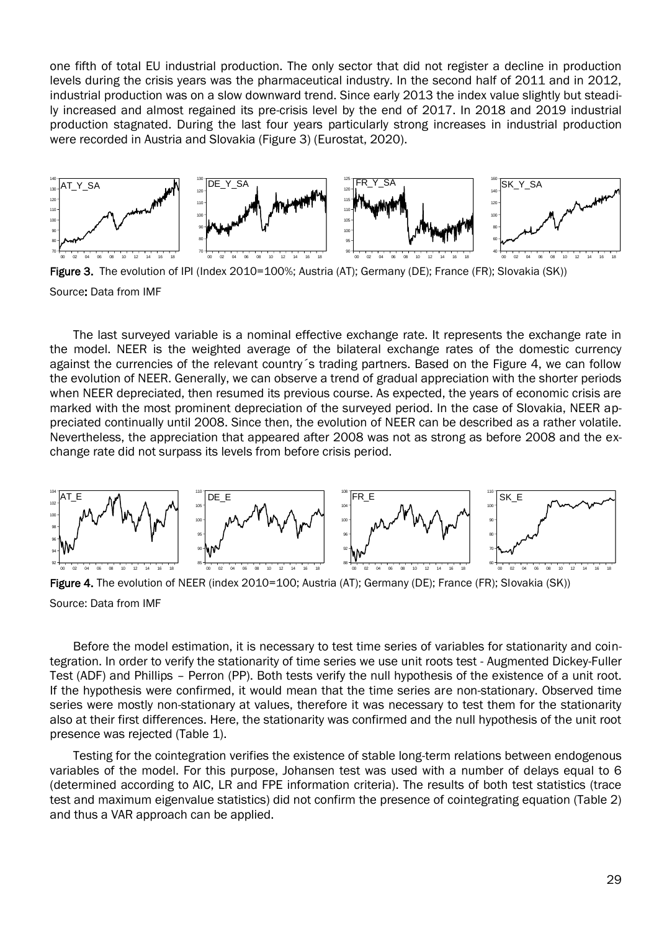one fifth of total EU industrial production. The only sector that did not register a decline in production levels during the crisis years was the pharmaceutical industry. In the second half of 2011 and in 2012, industrial production was on a slow downward trend. Since early 2013 the index value slightly but steadily increased and almost regained its pre-crisis level by the end of 2017. In 2018 and 2019 industrial production stagnated. During the last four years particularly strong increases in industrial production were recorded in Austria and Slovakia (Figure 3) (Eurostat, 2020).



Figure 3. The evolution of IPI (Index 2010=100%; Austria (AT); Germany (DE); France (FR); Slovakia (SK)) Source: Data from IMF

The last surveyed variable is a nominal effective exchange rate. It represents the exchange rate in the model. NEER is the weighted average of the bilateral exchange rates of the domestic currency against the currencies of the relevant country´s trading partners. Based on the Figure 4, we can follow the evolution of NEER. Generally, we can observe a trend of gradual appreciation with the shorter periods when NEER depreciated, then resumed its previous course. As expected, the years of economic crisis are marked with the most prominent depreciation of the surveyed period. In the case of Slovakia, NEER appreciated continually until 2008. Since then, the evolution of NEER can be described as a rather volatile. Nevertheless, the appreciation that appeared after 2008 was not as strong as before 2008 and the exchange rate did not surpass its levels from before crisis period.



Figure 4. The evolution of NEER (index 2010=100; Austria (AT); Germany (DE); France (FR); Slovakia (SK))

Before the model estimation, it is necessary to test time series of variables for stationarity and cointegration. In order to verify the stationarity of time series we use unit roots test - Augmented Dickey-Fuller Test (ADF) and Phillips – Perron (PP). Both tests verify the null hypothesis of the existence of a unit root. If the hypothesis were confirmed, it would mean that the time series are non-stationary. Observed time series were mostly non-stationary at values, therefore it was necessary to test them for the stationarity also at their first differences. Here, the stationarity was confirmed and the null hypothesis of the unit root presence was rejected (Table 1).

Testing for the cointegration verifies the existence of stable long-term relations between endogenous variables of the model. For this purpose, Johansen test was used with a number of delays equal to 6 (determined according to AIC, LR and FPE information criteria). The results of both test statistics (trace test and maximum eigenvalue statistics) did not confirm the presence of cointegrating equation (Table 2) and thus a VAR approach can be applied.

Source: Data from IMF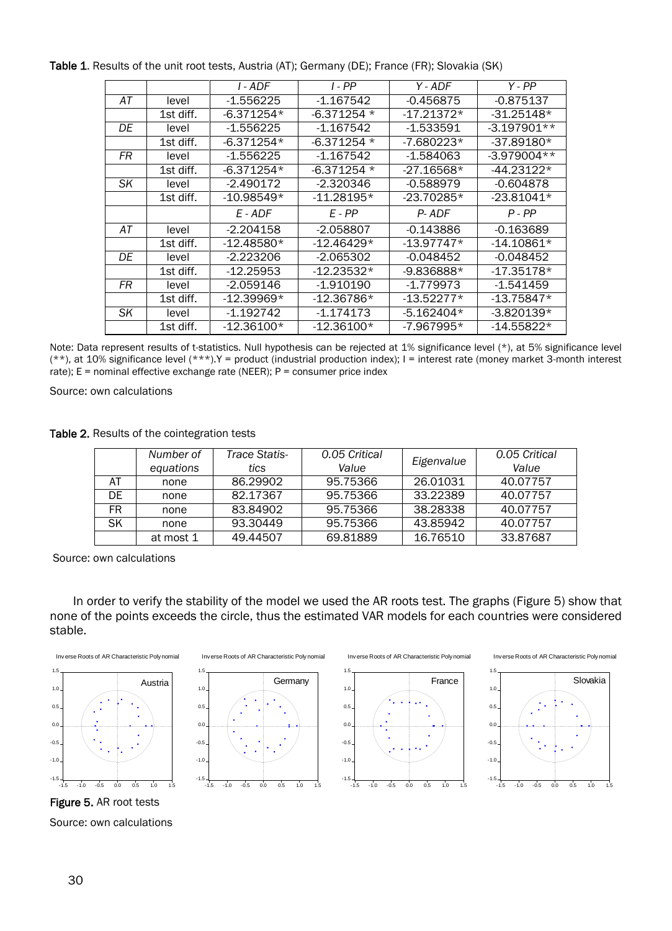|    |           | I - ADF      | $I - PP$     | Y - ADF      | Y - PP        |
|----|-----------|--------------|--------------|--------------|---------------|
| АT | level     | $-1.556225$  | $-1.167542$  | $-0.456875$  | $-0.875137$   |
|    | 1st diff. | $-6.371254*$ | $-6.371254*$ | $-17.21372*$ | $-31.25148*$  |
| DE | level     | $-1.556225$  | $-1.167542$  | $-1.533591$  | $-3.197901**$ |
|    | 1st diff. | $-6.371254*$ | $-6.371254*$ | $-7.680223*$ | $-37.89180*$  |
| FR | level     | $-1.556225$  | $-1.167542$  | $-1.584063$  | $-3.979004**$ |
|    | 1st diff. | $-6.371254*$ | $-6.371254*$ | $-27.16568*$ | -44.23122*    |
| SK | level     | $-2.490172$  | -2.320346    | $-0.588979$  | $-0.604878$   |
|    | 1st diff. | $-10.98549*$ | $-11.28195*$ | -23.70285*   | $-23.81041*$  |
|    |           | E - ADF      | E - PP       | P-ADF        | P-PP          |
| АT | level     | $-2.204158$  | $-2.058807$  | $-0.143886$  | $-0.163689$   |
|    | 1st diff. | $-12.48580*$ | $-12.46429*$ | $-13.97747*$ | $-14.10861*$  |
| DE | level     | $-2.223206$  | $-2.065302$  | -0.048452    | $-0.048452$   |
|    | 1st diff. | $-12.25953$  | -12.23532*   | $-9.836888*$ | $-17.35178*$  |
| FR | level     | -2.059146    | -1.910190    | $-1.779973$  | -1.541459     |
|    | 1st diff. | $-12.39969*$ | $-12.36786*$ | $-13.52277*$ | $-13.75847*$  |
| SK | level     | -1.192742    | -1.174173    | $-5.162404*$ | $-3.820139*$  |
|    | 1st diff. | $-12.36100*$ | $-12.36100*$ | -7.967995*   | $-14.55822*$  |

Table 1. Results of the unit root tests, Austria (AT); Germany (DE); France (FR); Slovakia (SK)

Note: Data represent results of t-statistics. Null hypothesis can be rejected at 1% significance level (\*), at 5% significance level (\*\*), at 10% significance level (\*\*\*).Y = product (industrial production index); I = interest rate (money market 3-month interest rate);  $E =$  nominal effective exchange rate (NEER);  $P =$  consumer price index

Source: own calculations

Table 2. Results of the cointegration tests

|     | Number of<br>equations | Trace Statis-<br>tics | 0.05 Critical<br>Value | Eigenvalue | 0.05 Critical<br>Value |
|-----|------------------------|-----------------------|------------------------|------------|------------------------|
| AT  | none                   | 86.29902              | 95.75366               | 26.01031   | 40.07757               |
| DE. | none                   | 82.17367              | 95.75366               | 33.22389   | 40.07757               |
| FR. | none                   | 83.84902              | 95.75366               | 38.28338   | 40.07757               |
| SK  | none                   | 93.30449              | 95.75366               | 43.85942   | 40.07757               |
|     | at most 1              | 49.44507              | 69.81889               | 16.76510   | 33,87687               |

Source: own calculations

In order to verify the stability of the model we used the AR roots test. The graphs (Figure 5) show that none of the points exceeds the circle, thus the estimated VAR models for each countries were considered stable.







Inverse Roots of AR Characteristic Poly nomial





Figure 5. AR root tests Source: own calculations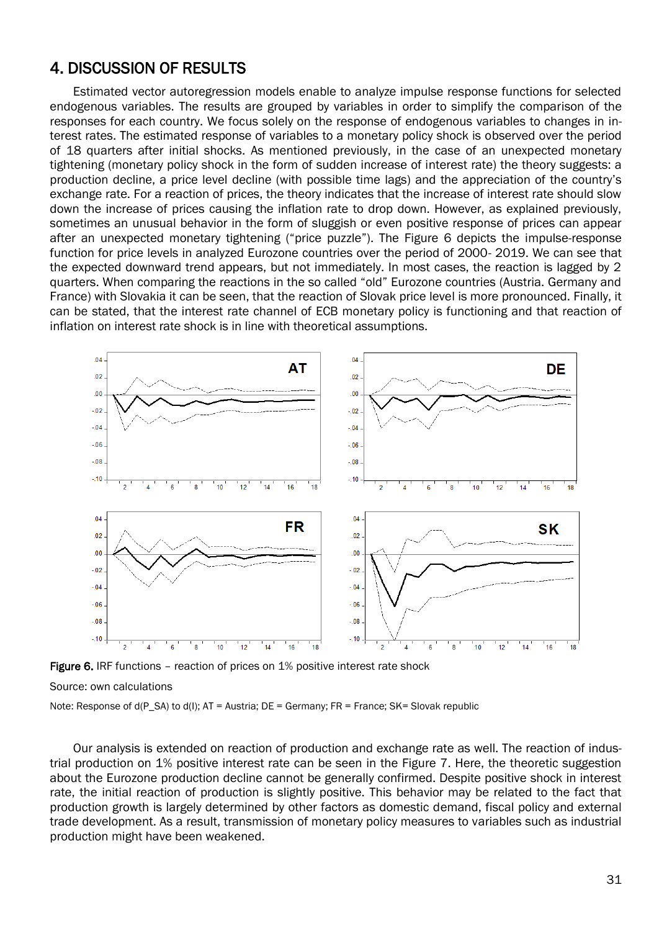#### 4. DISCUSSION OF RESULTS

Estimated vector autoregression models enable to analyze impulse response functions for selected endogenous variables. The results are grouped by variables in order to simplify the comparison of the responses for each country. We focus solely on the response of endogenous variables to changes in interest rates. The estimated response of variables to a monetary policy shock is observed over the period of 18 quarters after initial shocks. As mentioned previously, in the case of an unexpected monetary tightening (monetary policy shock in the form of sudden increase of interest rate) the theory suggests: a production decline, a price level decline (with possible time lags) and the appreciation of the country's exchange rate. For a reaction of prices, the theory indicates that the increase of interest rate should slow down the increase of prices causing the inflation rate to drop down. However, as explained previously, sometimes an unusual behavior in the form of sluggish or even positive response of prices can appear after an unexpected monetary tightening ("price puzzle"). The Figure 6 depicts the impulse-response function for price levels in analyzed Eurozone countries over the period of 2000- 2019. We can see that the expected downward trend appears, but not immediately. In most cases, the reaction is lagged by 2 quarters. When comparing the reactions in the so called "old" Eurozone countries (Austria. Germany and France) with Slovakia it can be seen, that the reaction of Slovak price level is more pronounced. Finally, it can be stated, that the interest rate channel of ECB monetary policy is functioning and that reaction of inflation on interest rate shock is in line with theoretical assumptions.



Figure 6. IRF functions - reaction of prices on 1% positive interest rate shock

#### Source: own calculations

Note: Response of d(P\_SA) to d(I); AT = Austria; DE = Germany; FR = France; SK= Slovak republic

Our analysis is extended on reaction of production and exchange rate as well. The reaction of industrial production on 1% positive interest rate can be seen in the Figure 7. Here, the theoretic suggestion about the Eurozone production decline cannot be generally confirmed. Despite positive shock in interest rate, the initial reaction of production is slightly positive. This behavior may be related to the fact that production growth is largely determined by other factors as domestic demand, fiscal policy and external trade development. As a result, transmission of monetary policy measures to variables such as industrial production might have been weakened.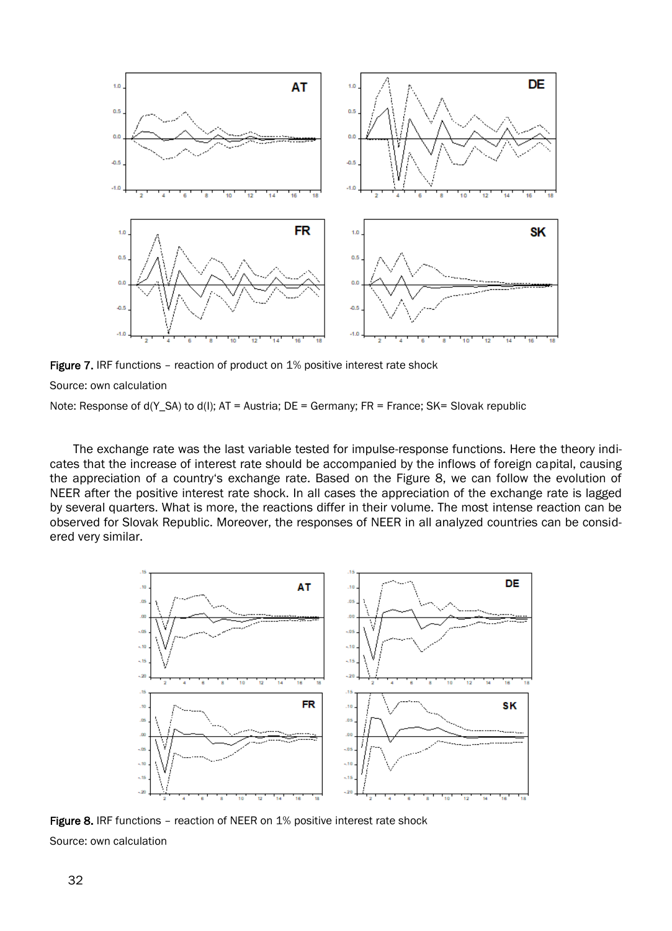

**Figure 7.** IRF functions – reaction of product on 1% positive interest rate shock

Source: own calculation

Note: Response of d(Y\_SA) to d(I); AT = Austria; DE = Germany; FR = France; SK= Slovak republic

The exchange rate was the last variable tested for impulse-response functions. Here the theory indicates that the increase of interest rate should be accompanied by the inflows of foreign capital, causing the appreciation of a country's exchange rate. Based on the Figure 8, we can follow the evolution of NEER after the positive interest rate shock. In all cases the appreciation of the exchange rate is lagged by several quarters. What is more, the reactions differ in their volume. The most intense reaction can be observed for Slovak Republic. Moreover, the responses of NEER in all analyzed countries can be considered very similar.



Figure 8. IRF functions - reaction of NEER on 1% positive interest rate shock Source: own calculation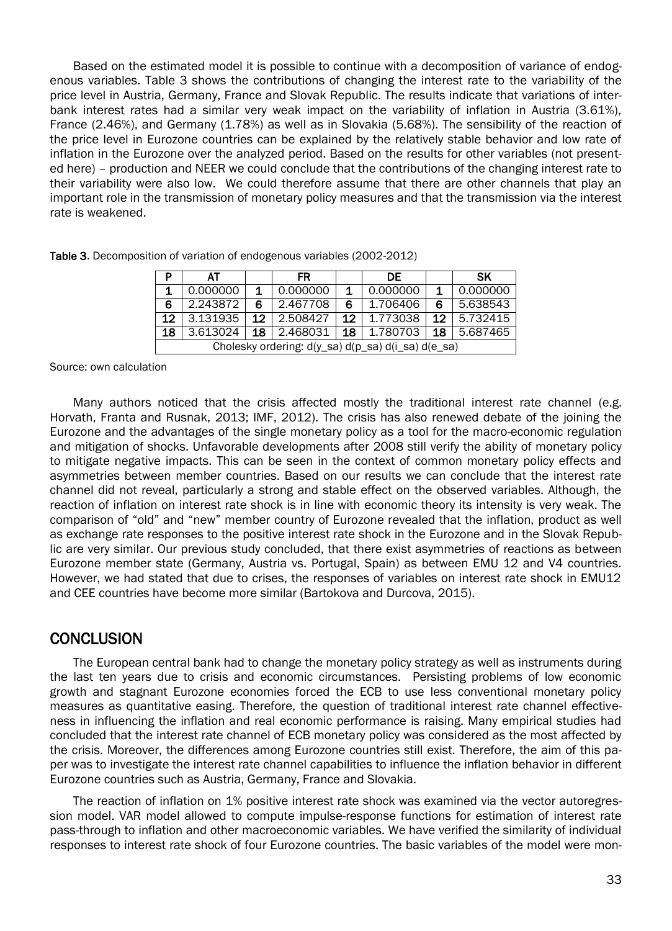Based on the estimated model it is possible to continue with a decomposition of variance of endogenous variables. Table 3 shows the contributions of changing the interest rate to the variability of the price level in Austria, Germany, France and Slovak Republic. The results indicate that variations of interbank interest rates had a similar very weak impact on the variability of inflation in Austria (3.61%), France (2.46%), and Germany (1.78%) as well as in Slovakia (5.68%). The sensibility of the reaction of the price level in Eurozone countries can be explained by the relatively stable behavior and low rate of inflation in the Eurozone over the analyzed period. Based on the results for other variables (not presented here) – production and NEER we could conclude that the contributions of the changing interest rate to their variability were also low. We could therefore assume that there are other channels that play an important role in the transmission of monetary policy measures and that the transmission via the interest rate is weakened.

|         | AT                                                 |                 | FR       |    | DE.         |    | <b>SK</b> |  |
|---------|----------------------------------------------------|-----------------|----------|----|-------------|----|-----------|--|
|         | 0.000000                                           | 1.              | 0.000000 | 1. | 0.000000    |    | 0.000000  |  |
| 6       | 2.243872                                           | 6               | 2.467708 | 6. | 1.706406    | 6  | 5.638543  |  |
| $12 \,$ | 3.131935                                           | 12 <sup>7</sup> | 2.508427 | 12 | 1.773038    | 12 | 5.732415  |  |
| 18      | 3.613024                                           | 18 <sup>1</sup> | 2.468031 |    | 18 1.780703 | 18 | 5.687465  |  |
|         | Cholesky ordering: d(y_sa) d(p_sa) d(i_sa) d(e_sa) |                 |          |    |             |    |           |  |

Table 3. Decomposition of variation of endogenous variables (2002-2012)

Source: own calculation

Many authors noticed that the crisis affected mostly the traditional interest rate channel (e.g. Horvath, Franta and Rusnak, 2013; IMF, 2012). The crisis has also renewed debate of the joining the Eurozone and the advantages of the single monetary policy as a tool for the macro-economic regulation and mitigation of shocks. Unfavorable developments after 2008 still verify the ability of monetary policy to mitigate negative impacts. This can be seen in the context of common monetary policy effects and asymmetries between member countries. Based on our results we can conclude that the interest rate channel did not reveal, particularly a strong and stable effect on the observed variables. Although, the reaction of inflation on interest rate shock is in line with economic theory its intensity is very weak. The comparison of "old" and "new" member country of Eurozone revealed that the inflation, product as well as exchange rate responses to the positive interest rate shock in the Eurozone and in the Slovak Republic are very similar. Our previous study concluded, that there exist asymmetries of reactions as between Eurozone member state (Germany, Austria vs. Portugal, Spain) as between EMU 12 and V4 countries. However, we had stated that due to crises, the responses of variables on interest rate shock in EMU12 and CEE countries have become more similar (Bartokova and Durcova, 2015).

#### **CONCLUSION**

The European central bank had to change the monetary policy strategy as well as instruments during the last ten years due to crisis and economic circumstances. Persisting problems of low economic growth and stagnant Eurozone economies forced the ECB to use less conventional monetary policy measures as quantitative easing. Therefore, the question of traditional interest rate channel effectiveness in influencing the inflation and real economic performance is raising. Many empirical studies had concluded that the interest rate channel of ECB monetary policy was considered as the most affected by the crisis. Moreover, the differences among Eurozone countries still exist. Therefore, the aim of this paper was to investigate the interest rate channel capabilities to influence the inflation behavior in different Eurozone countries such as Austria, Germany, France and Slovakia.

The reaction of inflation on 1% positive interest rate shock was examined via the vector autoregression model. VAR model allowed to compute impulse-response functions for estimation of interest rate pass-through to inflation and other macroeconomic variables. We have verified the similarity of individual responses to interest rate shock of four Eurozone countries. The basic variables of the model were mon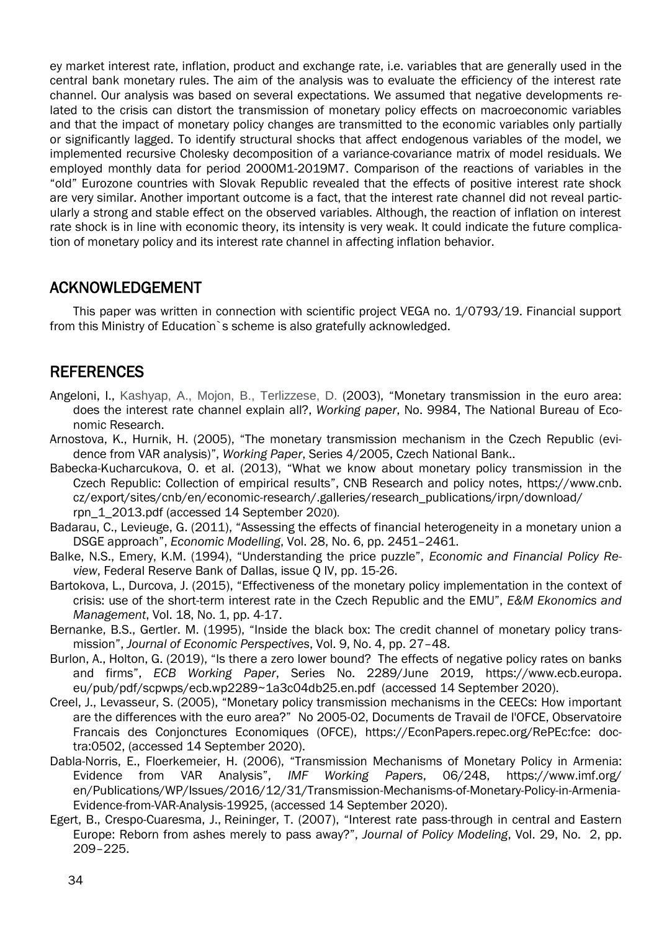ey market interest rate, inflation, product and exchange rate, i.e. variables that are generally used in the central bank monetary rules. The aim of the analysis was to evaluate the efficiency of the interest rate channel. Our analysis was based on several expectations. We assumed that negative developments related to the crisis can distort the transmission of monetary policy effects on macroeconomic variables and that the impact of monetary policy changes are transmitted to the economic variables only partially or significantly lagged. To identify structural shocks that affect endogenous variables of the model, we implemented recursive Cholesky decomposition of a variance-covariance matrix of model residuals. We employed monthly data for period 2000M1-2019M7. Comparison of the reactions of variables in the "old" Eurozone countries with Slovak Republic revealed that the effects of positive interest rate shock are very similar. Another important outcome is a fact, that the interest rate channel did not reveal particularly a strong and stable effect on the observed variables. Although, the reaction of inflation on interest rate shock is in line with economic theory, its intensity is very weak. It could indicate the future complication of monetary policy and its interest rate channel in affecting inflation behavior.

#### ACKNOWLEDGEMENT

This paper was written in connection with scientific project VEGA no. 1/0793/19. Financial support from this Ministry of Education`s scheme is also gratefully acknowledged.

## REFERENCES

- Angeloni, I., Kashyap, A., Mojon, B., Terlizzese, D. (2003), "Monetary transmission in the euro area: does the interest rate channel explain all?, *Working paper*, No. 9984, The National Bureau of Economic Research.
- Arnostova, K., Hurnik, H. (2005), "The monetary transmission mechanism in the Czech Republic (evidence from VAR analysis)", *Working Paper*, Series 4/2005, Czech National Bank..
- Babecka-Kucharcukova, O. et al. (2013), "What we know about monetary policy transmission in the Czech Republic: Collection of empirical results", CNB Research and policy notes, https://www.cnb. cz/export/sites/cnb/en/economic-research/.galleries/research\_publications/irpn/download/ rpn\_1\_2013.pdf (accessed 14 September 2020).
- Badarau, C., Levieuge, G. (2011), "Assessing the effects of financial heterogeneity in a monetary union a DSGE approach", *Economic Modelling*, Vol. 28, No. 6, pp. 2451–2461.
- Balke, N.S., Emery, K.M. (1994), "Understanding the price puzzle", *Economic and Financial Policy Review*, Federal Reserve Bank of Dallas, issue Q IV, pp. 15-26.
- Bartokova, L., Durcova, J. (2015), "Effectiveness of the monetary policy implementation in the context of crisis: use of the short-term interest rate in the Czech Republic and the EMU", *E&M Ekonomics and Management*, Vol. 18, No. 1, pp. 4-17.
- Bernanke, B.S., Gertler. M. (1995), "Inside the black box: The credit channel of monetary policy transmission", *Journal of Economic Perspectives*, Vol. 9, No. 4, pp. 27–48.
- Burlon, A., Holton, G. (2019), "Is there a zero lower bound? The effects of negative policy rates on banks and firms", *ECB Working Paper*, Series No. 2289/June 2019, https://www.ecb.europa. eu/pub/pdf/scpwps/ecb.wp2289~1a3c04db25.en.pdf (accessed 14 September 2020).
- Creel, J., Levasseur, S. (2005), "Monetary policy transmission mechanisms in the CEECs: How important are the differences with the euro area?" No 2005-02, Documents de Travail de l'OFCE, Observatoire Francais des Conjonctures Economiques (OFCE), https://EconPapers.repec.org/RePEc:fce: doctra:0502, (accessed 14 September 2020).
- Dabla-Norris, E., Floerkemeier, H. (2006), "Transmission Mechanisms of Monetary Policy in Armenia: Evidence from VAR Analysis", *IMF Working Papers*, 06/248, https://www.imf.org/ en/Publications/WP/Issues/2016/12/31/Transmission-Mechanisms-of-Monetary-Policy-in-Armenia-Evidence-from-VAR-Analysis-19925, (accessed 14 September 2020).
- Egert, B., Crespo-Cuaresma, J., Reininger, T. (2007), "Interest rate pass-through in central and Eastern Europe: Reborn from ashes merely to pass away?", *Journal of Policy Modeling*, Vol. 29, No. 2, pp. 209–225.